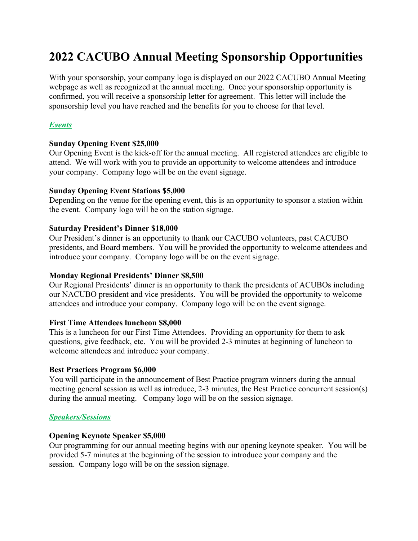# **2022 CACUBO Annual Meeting Sponsorship Opportunities**

With your sponsorship, your company logo is displayed on our 2022 CACUBO Annual Meeting webpage as well as recognized at the annual meeting. Once your sponsorship opportunity is confirmed, you will receive a sponsorship letter for agreement. This letter will include the sponsorship level you have reached and the benefits for you to choose for that level.

# *Events*

## **Sunday Opening Event \$25,000**

Our Opening Event is the kick-off for the annual meeting. All registered attendees are eligible to attend. We will work with you to provide an opportunity to welcome attendees and introduce your company. Company logo will be on the event signage.

## **Sunday Opening Event Stations \$5,000**

Depending on the venue for the opening event, this is an opportunity to sponsor a station within the event. Company logo will be on the station signage.

## **Saturday President's Dinner \$18,000**

Our President's dinner is an opportunity to thank our CACUBO volunteers, past CACUBO presidents, and Board members. You will be provided the opportunity to welcome attendees and introduce your company. Company logo will be on the event signage.

#### **Monday Regional Presidents' Dinner \$8,500**

Our Regional Presidents' dinner is an opportunity to thank the presidents of ACUBOs including our NACUBO president and vice presidents. You will be provided the opportunity to welcome attendees and introduce your company. Company logo will be on the event signage.

#### **First Time Attendees luncheon \$8,000**

This is a luncheon for our First Time Attendees. Providing an opportunity for them to ask questions, give feedback, etc. You will be provided 2-3 minutes at beginning of luncheon to welcome attendees and introduce your company.

#### **Best Practices Program \$6,000**

You will participate in the announcement of Best Practice program winners during the annual meeting general session as well as introduce, 2-3 minutes, the Best Practice concurrent session(s) during the annual meeting. Company logo will be on the session signage.

# *Speakers/Sessions*

#### **Opening Keynote Speaker \$5,000**

Our programming for our annual meeting begins with our opening keynote speaker. You will be provided 5-7 minutes at the beginning of the session to introduce your company and the session. Company logo will be on the session signage.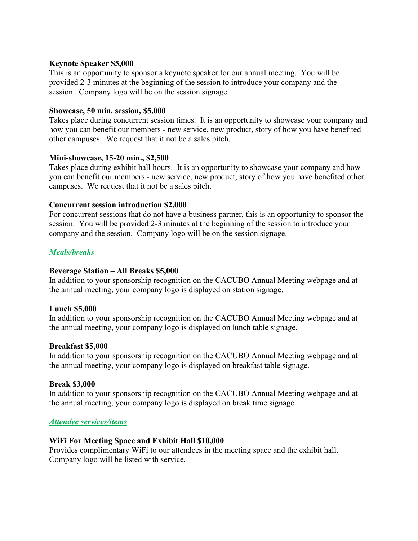#### **Keynote Speaker \$5,000**

This is an opportunity to sponsor a keynote speaker for our annual meeting. You will be provided 2-3 minutes at the beginning of the session to introduce your company and the session. Company logo will be on the session signage.

#### **Showcase, 50 min. session, \$5,000**

Takes place during concurrent session times. It is an opportunity to showcase your company and how you can benefit our members - new service, new product, story of how you have benefited other campuses. We request that it not be a sales pitch.

## **Mini-showcase, 15-20 min., \$2,500**

Takes place during exhibit hall hours. It is an opportunity to showcase your company and how you can benefit our members - new service, new product, story of how you have benefited other campuses. We request that it not be a sales pitch.

## **Concurrent session introduction \$2,000**

For concurrent sessions that do not have a business partner, this is an opportunity to sponsor the session. You will be provided 2-3 minutes at the beginning of the session to introduce your company and the session. Company logo will be on the session signage.

## *Meals/breaks*

#### **Beverage Station – All Breaks \$5,000**

In addition to your sponsorship recognition on the CACUBO Annual Meeting webpage and at the annual meeting, your company logo is displayed on station signage.

#### **Lunch \$5,000**

In addition to your sponsorship recognition on the CACUBO Annual Meeting webpage and at the annual meeting, your company logo is displayed on lunch table signage.

#### **Breakfast \$5,000**

In addition to your sponsorship recognition on the CACUBO Annual Meeting webpage and at the annual meeting, your company logo is displayed on breakfast table signage.

#### **Break \$3,000**

In addition to your sponsorship recognition on the CACUBO Annual Meeting webpage and at the annual meeting, your company logo is displayed on break time signage.

#### *Attendee services/items*

#### **WiFi For Meeting Space and Exhibit Hall \$10,000**

Provides complimentary WiFi to our attendees in the meeting space and the exhibit hall. Company logo will be listed with service.